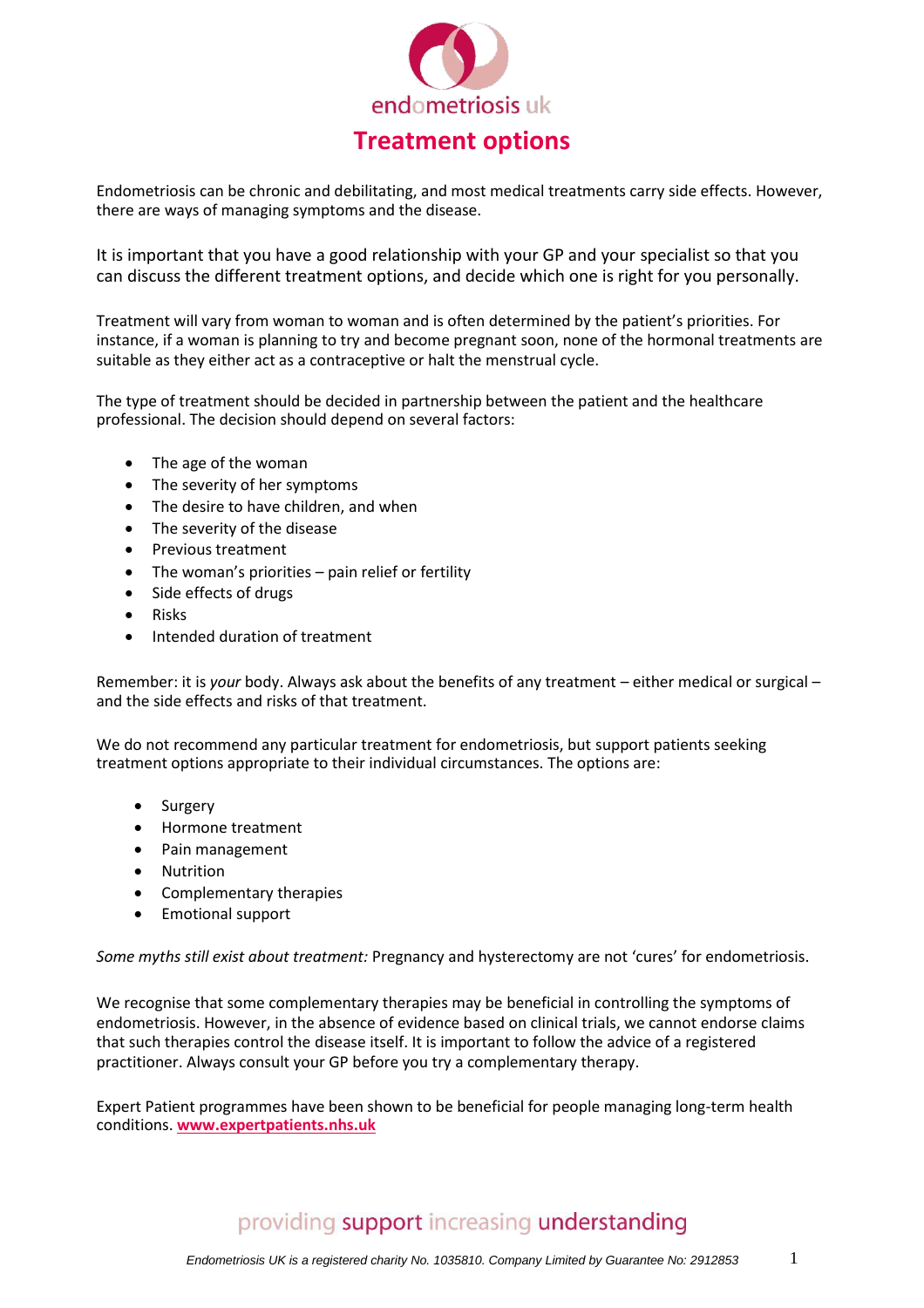

Endometriosis can be chronic and debilitating, and most medical treatments carry side effects. However, there are ways of managing symptoms and the disease.

It is important that you have a good relationship with your GP and your specialist so that you can discuss the different treatment options, and decide which one is right for you personally.

Treatment will vary from woman to woman and is often determined by the patient's priorities. For instance, if a woman is planning to try and become pregnant soon, none of the hormonal treatments are suitable as they either act as a contraceptive or halt the menstrual cycle.

The type of treatment should be decided in partnership between the patient and the healthcare professional. The decision should depend on several factors:

- The age of the woman
- The severity of her symptoms
- The desire to have children, and when
- The severity of the disease
- Previous treatment
- The woman's priorities pain relief or fertility
- Side effects of drugs
- Risks
- Intended duration of treatment

Remember: it is *your* body. Always ask about the benefits of any treatment – either medical or surgical – and the side effects and risks of that treatment.

We do not recommend any particular treatment for endometriosis, but support patients seeking treatment options appropriate to their individual circumstances. The options are:

- Surgery
- Hormone treatment
- Pain management
- Nutrition
- Complementary therapies
- Emotional support

*Some myths still exist about treatment:* Pregnancy and hysterectomy are not 'cures' for endometriosis.

We recognise that some complementary therapies may be beneficial in controlling the symptoms of endometriosis. However, in the absence of evidence based on clinical trials, we cannot endorse claims that such therapies control the disease itself. It is important to follow the advice of a registered practitioner. Always consult your GP before you try a complementary therapy.

Expert Patient programmes have been shown to be beneficial for people managing long-term health conditions. **[www.expertpatients.nhs.uk](http://www.expertpatients.nhs.uk/)**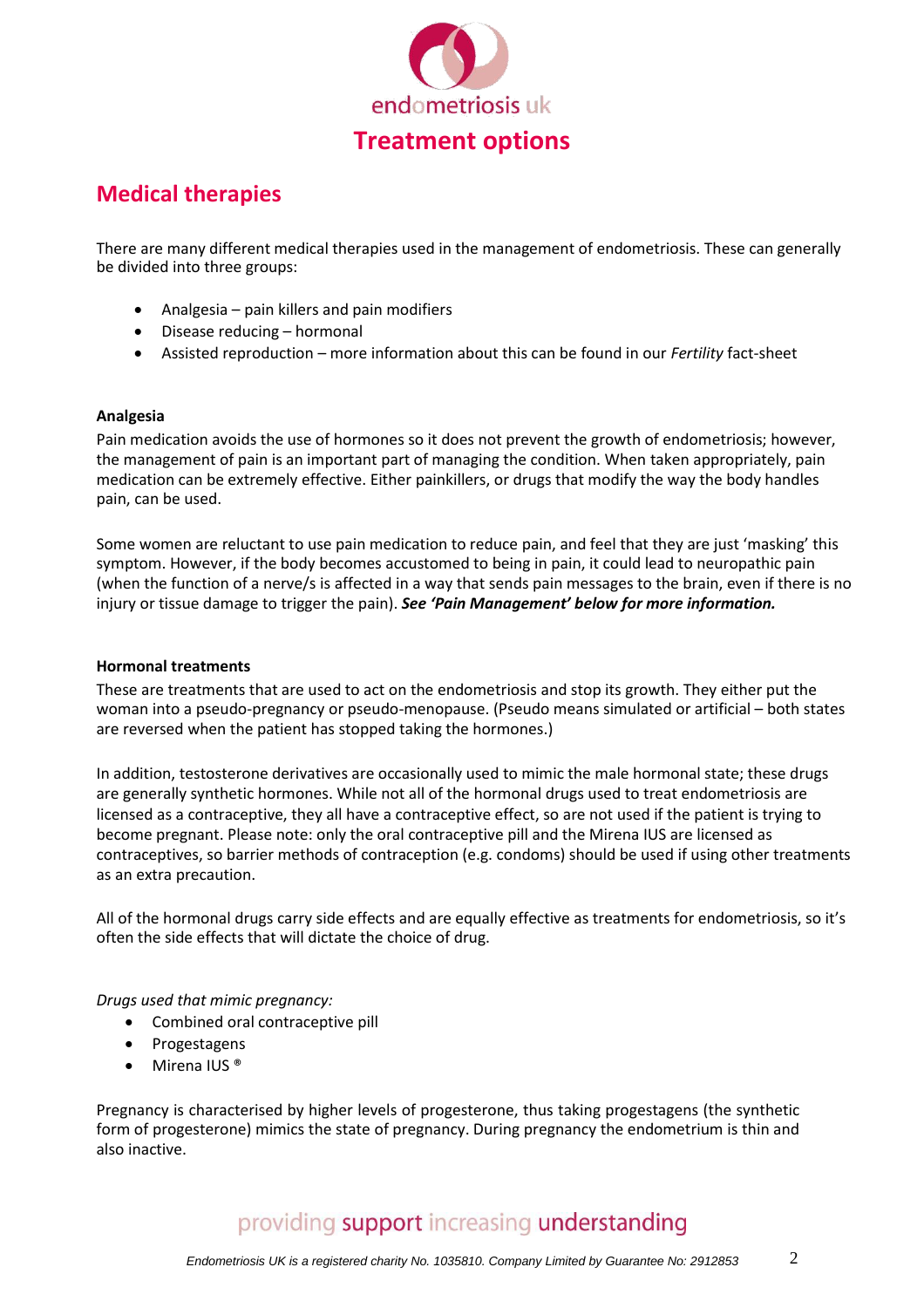

## **Medical therapies**

There are many different medical therapies used in the management of endometriosis. These can generally be divided into three groups:

- Analgesia pain killers and pain modifiers
- Disease reducing hormonal
- Assisted reproduction more information about this can be found in our *Fertility* fact-sheet

#### **Analgesia**

Pain medication avoids the use of hormones so it does not prevent the growth of endometriosis; however, the management of pain is an important part of managing the condition. When taken appropriately, pain medication can be extremely effective. Either painkillers, or drugs that modify the way the body handles pain, can be used.

Some women are reluctant to use pain medication to reduce pain, and feel that they are just 'masking' this symptom. However, if the body becomes accustomed to being in pain, it could lead to neuropathic pain (when the function of a nerve/s is affected in a way that sends pain messages to the brain, even if there is no injury or tissue damage to trigger the pain). *See 'Pain Management' below for more information.*

### **Hormonal treatments**

These are treatments that are used to act on the endometriosis and stop its growth. They either put the woman into a pseudo-pregnancy or pseudo-menopause. (Pseudo means simulated or artificial – both states are reversed when the patient has stopped taking the hormones.)

In addition, testosterone derivatives are occasionally used to mimic the male hormonal state; these drugs are generally synthetic hormones. While not all of the hormonal drugs used to treat endometriosis are licensed as a contraceptive, they all have a contraceptive effect, so are not used if the patient is trying to become pregnant. Please note: only the oral contraceptive pill and the Mirena IUS are licensed as contraceptives, so barrier methods of contraception (e.g. condoms) should be used if using other treatments as an extra precaution.

All of the hormonal drugs carry side effects and are equally effective as treatments for endometriosis, so it's often the side effects that will dictate the choice of drug.

### *Drugs used that mimic pregnancy:*

- Combined oral contraceptive pill
- Progestagens
- Mirena IUS<sup>®</sup>

Pregnancy is characterised by higher levels of progesterone, thus taking progestagens (the synthetic form of progesterone) mimics the state of pregnancy. During pregnancy the endometrium is thin and also inactive.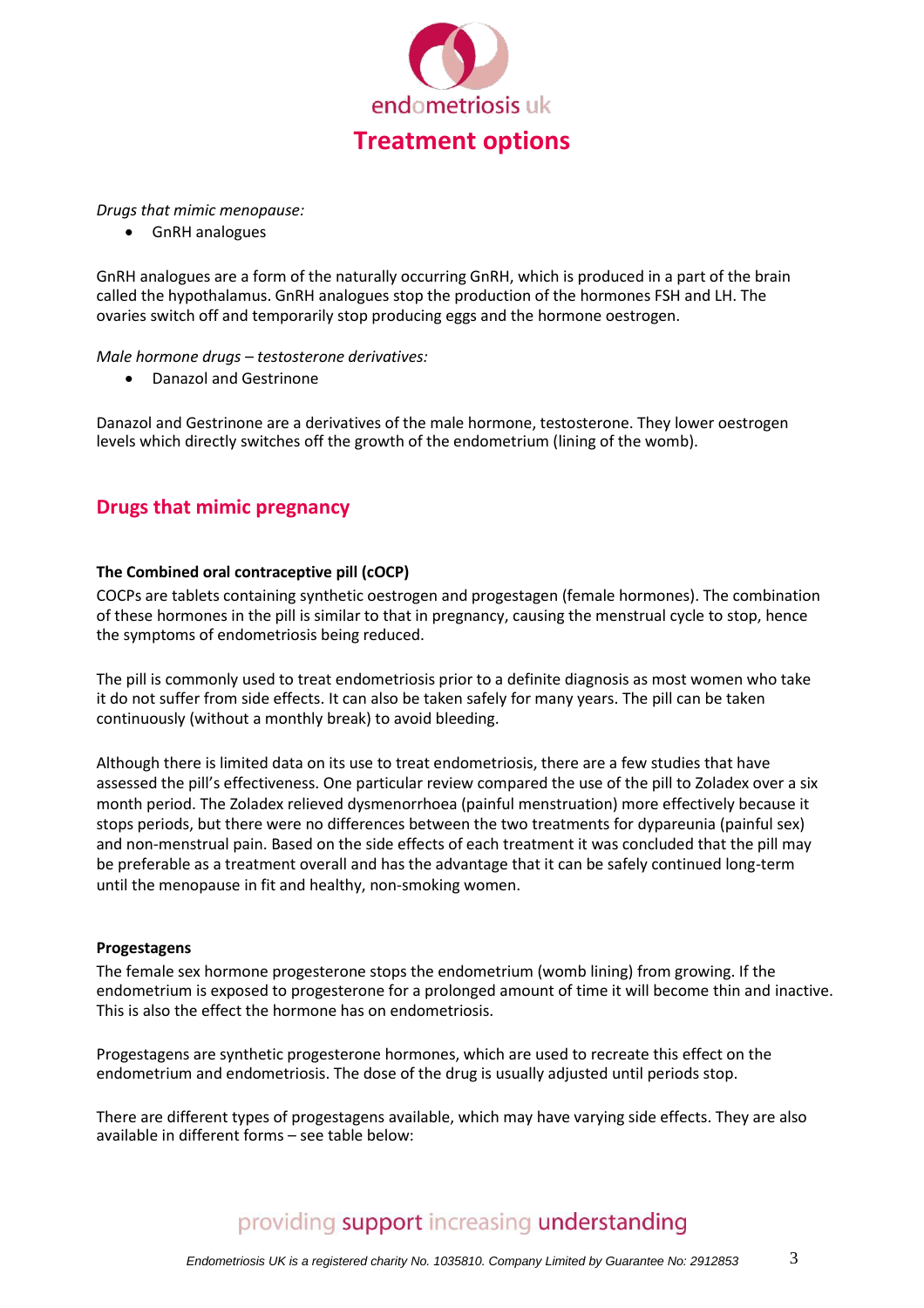

*Drugs that mimic menopause:*

GnRH analogues

GnRH analogues are a form of the naturally occurring GnRH, which is produced in a part of the brain called the hypothalamus. GnRH analogues stop the production of the hormones FSH and LH. The ovaries switch off and temporarily stop producing eggs and the hormone oestrogen.

### *Male hormone drugs – testosterone derivatives:*

Danazol and Gestrinone

Danazol and Gestrinone are a derivatives of the male hormone, testosterone. They lower oestrogen levels which directly switches off the growth of the endometrium (lining of the womb).

## **Drugs that mimic pregnancy**

### **The Combined oral contraceptive pill (cOCP)**

COCPs are tablets containing synthetic oestrogen and progestagen (female hormones). The combination of these hormones in the pill is similar to that in pregnancy, causing the menstrual cycle to stop, hence the symptoms of endometriosis being reduced.

The pill is commonly used to treat endometriosis prior to a definite diagnosis as most women who take it do not suffer from side effects. It can also be taken safely for many years. The pill can be taken continuously (without a monthly break) to avoid bleeding.

Although there is limited data on its use to treat endometriosis, there are a few studies that have assessed the pill's effectiveness. One particular review compared the use of the pill to Zoladex over a six month period. The Zoladex relieved dysmenorrhoea (painful menstruation) more effectively because it stops periods, but there were no differences between the two treatments for dypareunia (painful sex) and non-menstrual pain. Based on the side effects of each treatment it was concluded that the pill may be preferable as a treatment overall and has the advantage that it can be safely continued long-term until the menopause in fit and healthy, non-smoking women.

### **Progestagens**

The female sex hormone progesterone stops the endometrium (womb lining) from growing. If the endometrium is exposed to progesterone for a prolonged amount of time it will become thin and inactive. This is also the effect the hormone has on endometriosis.

Progestagens are synthetic progesterone hormones, which are used to recreate this effect on the endometrium and endometriosis. The dose of the drug is usually adjusted until periods stop.

There are different types of progestagens available, which may have varying side effects. They are also available in different forms – see table below: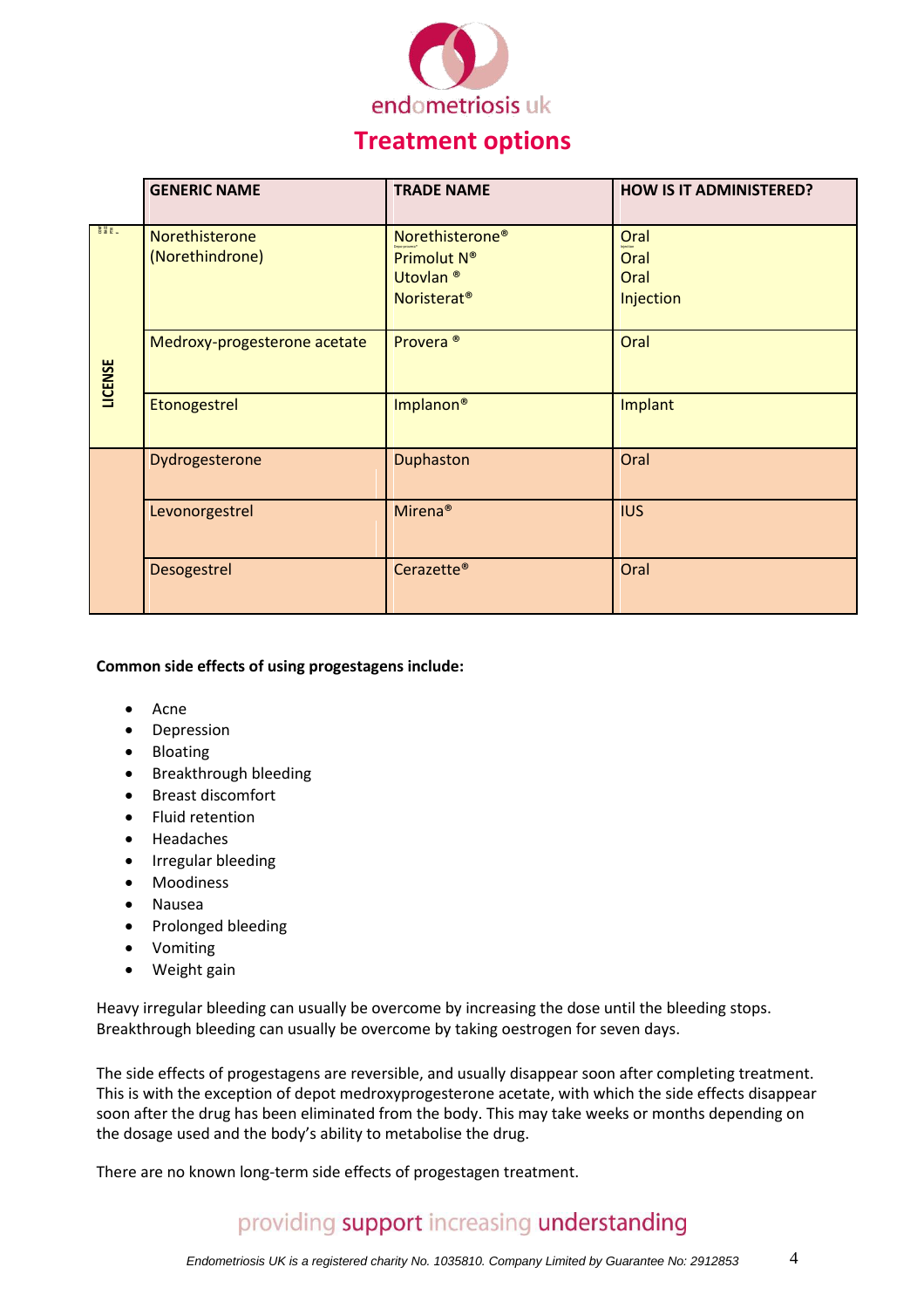

## **Treatment options**

|                         | <b>GENERIC NAME</b>               | <b>TRADE NAME</b>                                                                             | <b>HOW IS IT ADMINISTERED?</b>    |
|-------------------------|-----------------------------------|-----------------------------------------------------------------------------------------------|-----------------------------------|
| <b>CONGE</b><br>LICENSE | Norethisterone<br>(Norethindrone) | Norethisterone <sup>®</sup><br>Primolut N®<br>Utovlan <sup>®</sup><br>Noristerat <sup>®</sup> | Oral<br>Oral<br>Oral<br>Injection |
|                         | Medroxy-progesterone acetate      | Provera <sup>®</sup>                                                                          | Oral                              |
|                         | Etonogestrel                      | Implanon <sup>®</sup>                                                                         | Implant                           |
|                         | Dydrogesterone                    | Duphaston                                                                                     | Oral                              |
|                         | Levonorgestrel                    | Mirena <sup>®</sup>                                                                           | <b>IUS</b>                        |
|                         | Desogestrel                       | Cerazette <sup>®</sup>                                                                        | Oral                              |

### **Common side effects of using progestagens include:**

- Acne
- Depression
- Bloating
- Breakthrough bleeding
- Breast discomfort
- Fluid retention
- Headaches
- Irregular bleeding
- Moodiness
- Nausea
- Prolonged bleeding
- Vomiting
- Weight gain

Heavy irregular bleeding can usually be overcome by increasing the dose until the bleeding stops. Breakthrough bleeding can usually be overcome by taking oestrogen for seven days.

The side effects of progestagens are reversible, and usually disappear soon after completing treatment. This is with the exception of depot medroxyprogesterone acetate, with which the side effects disappear soon after the drug has been eliminated from the body. This may take weeks or months depending on the dosage used and the body's ability to metabolise the drug.

There are no known long-term side effects of progestagen treatment.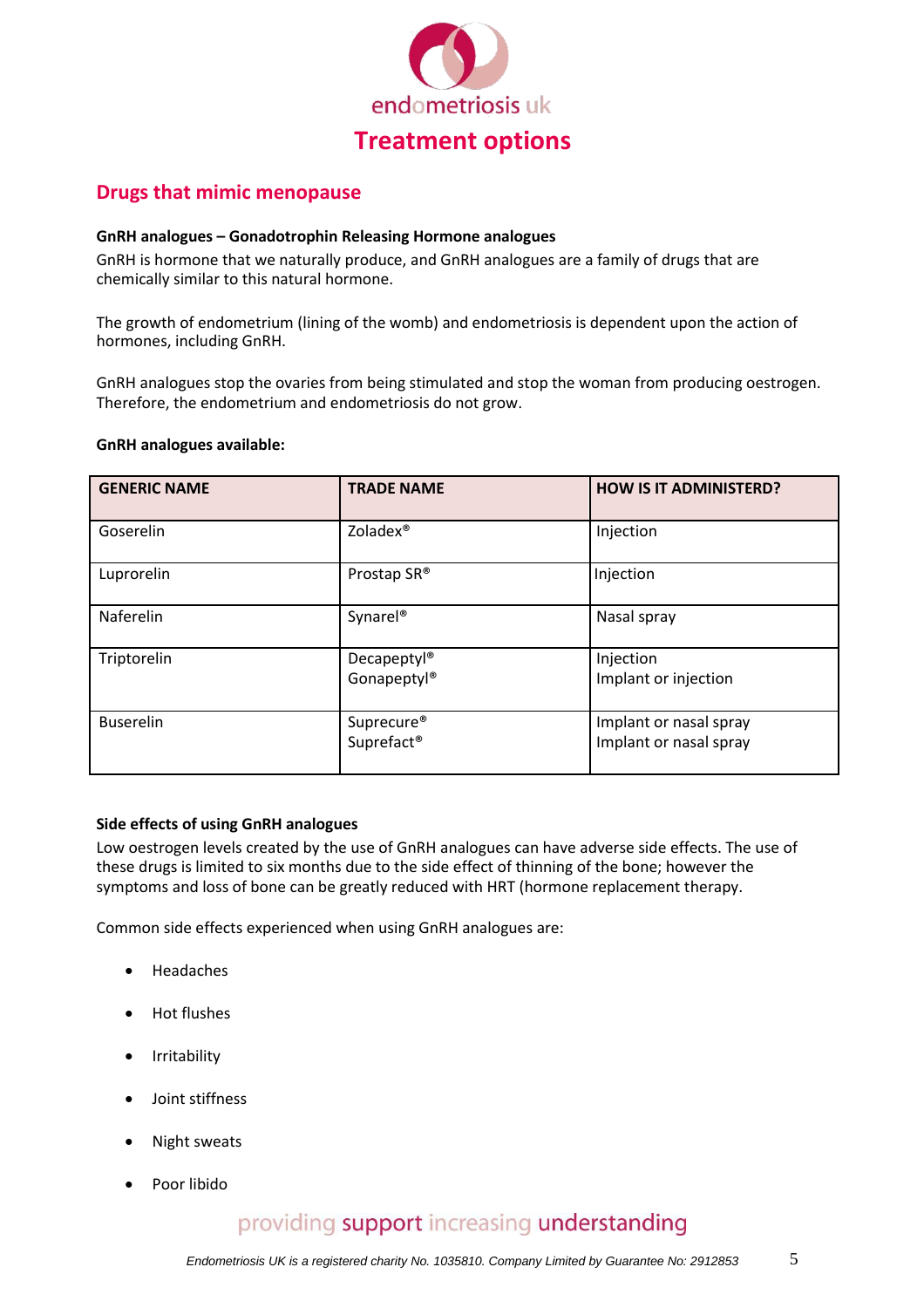

## **Drugs that mimic menopause**

### **GnRH analogues – Gonadotrophin Releasing Hormone analogues**

GnRH is hormone that we naturally produce, and GnRH analogues are a family of drugs that are chemically similar to this natural hormone.

The growth of endometrium (lining of the womb) and endometriosis is dependent upon the action of hormones, including GnRH.

GnRH analogues stop the ovaries from being stimulated and stop the woman from producing oestrogen. Therefore, the endometrium and endometriosis do not grow.

#### **GnRH analogues available:**

| <b>GENERIC NAME</b> | <b>TRADE NAME</b>                                | <b>HOW IS IT ADMINISTERD?</b>                    |
|---------------------|--------------------------------------------------|--------------------------------------------------|
| Goserelin           | Zoladex <sup>®</sup>                             | Injection                                        |
| Luprorelin          | Prostap SR®                                      | Injection                                        |
| Naferelin           | Synarel <sup>®</sup>                             | Nasal spray                                      |
| Triptorelin         | Decapeptyl <sup>®</sup><br>Gonapeptyl®           | Injection<br>Implant or injection                |
| <b>Buserelin</b>    | Suprecure <sup>®</sup><br>Suprefact <sup>®</sup> | Implant or nasal spray<br>Implant or nasal spray |

#### **Side effects of using GnRH analogues**

Low oestrogen levels created by the use of GnRH analogues can have adverse side effects. The use of these drugs is limited to six months due to the side effect of thinning of the bone; however the symptoms and loss of bone can be greatly reduced with HRT (hormone replacement therapy.

Common side effects experienced when using GnRH analogues are:

- Headaches
- Hot flushes
- Irritability
- Joint stiffness
- Night sweats
- Poor libido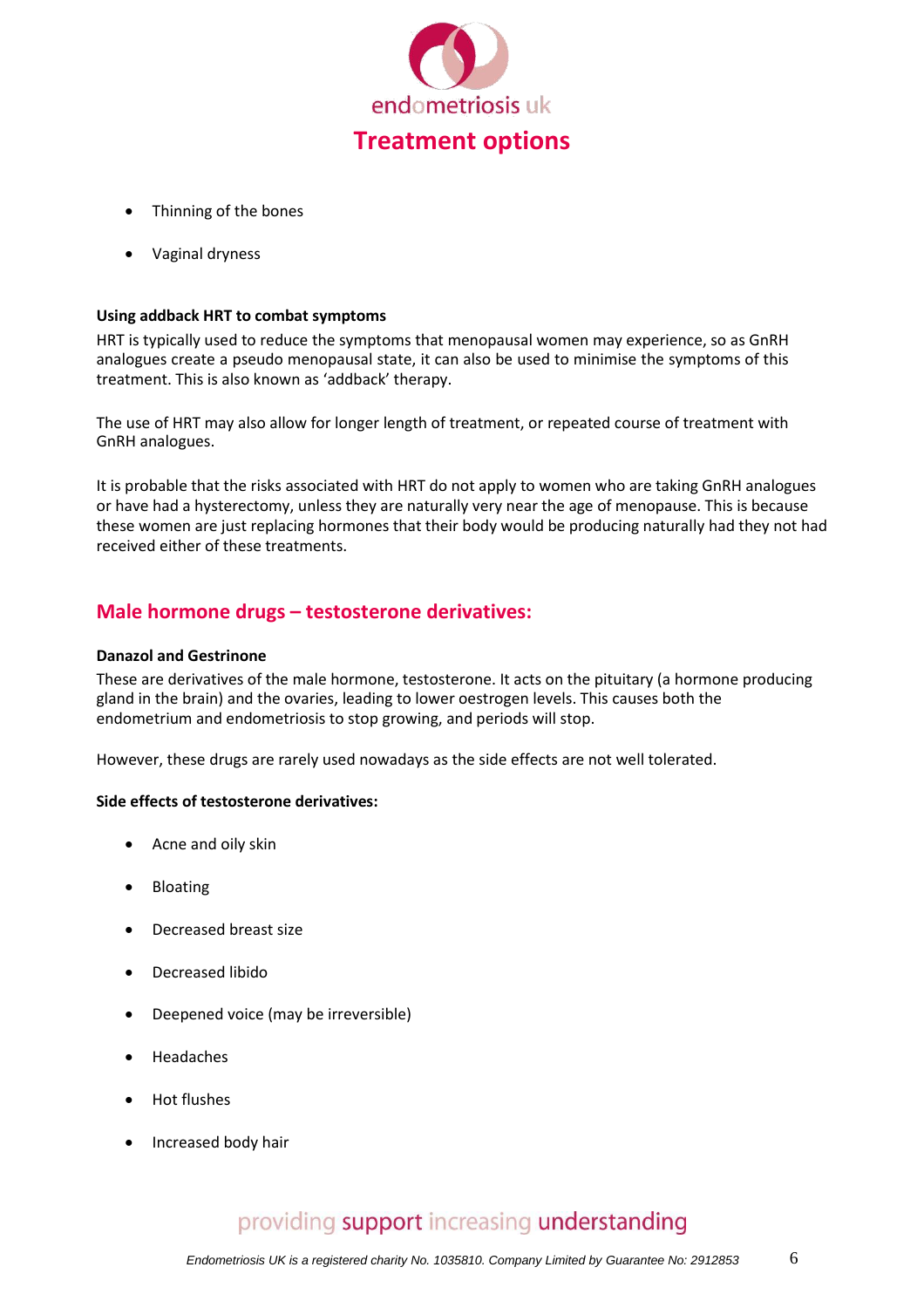

- Thinning of the bones
- Vaginal dryness

### **Using addback HRT to combat symptoms**

HRT is typically used to reduce the symptoms that menopausal women may experience, so as GnRH analogues create a pseudo menopausal state, it can also be used to minimise the symptoms of this treatment. This is also known as 'addback' therapy.

The use of HRT may also allow for longer length of treatment, or repeated course of treatment with GnRH analogues.

It is probable that the risks associated with HRT do not apply to women who are taking GnRH analogues or have had a hysterectomy, unless they are naturally very near the age of menopause. This is because these women are just replacing hormones that their body would be producing naturally had they not had received either of these treatments.

### **Male hormone drugs – testosterone derivatives:**

#### **Danazol and Gestrinone**

These are derivatives of the male hormone, testosterone. It acts on the pituitary (a hormone producing gland in the brain) and the ovaries, leading to lower oestrogen levels. This causes both the endometrium and endometriosis to stop growing, and periods will stop.

However, these drugs are rarely used nowadays as the side effects are not well tolerated.

### **Side effects of testosterone derivatives:**

- Acne and oily skin
- Bloating
- Decreased breast size
- Decreased libido
- Deepened voice (may be irreversible)
- Headaches
- Hot flushes
- Increased body hair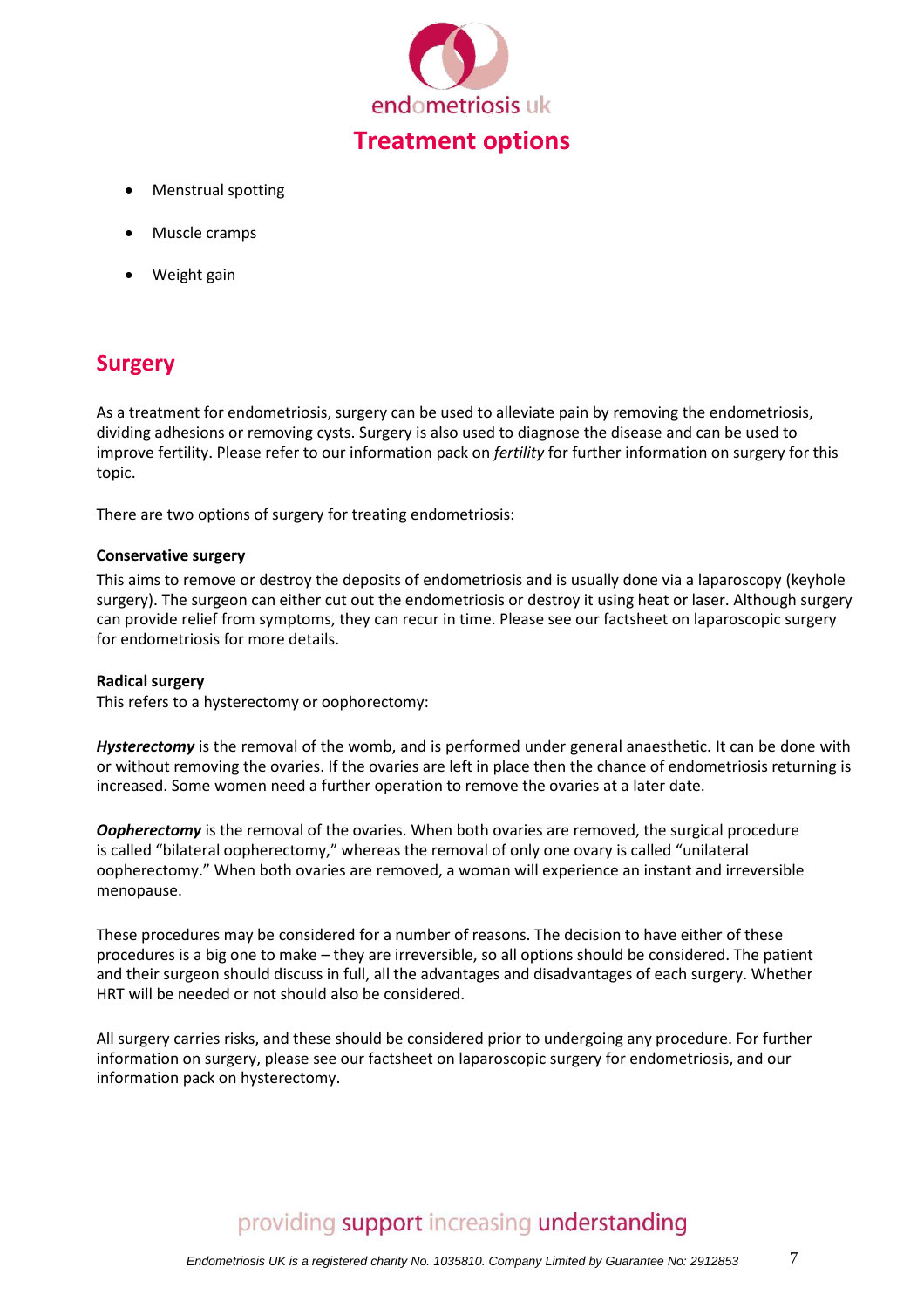

- Menstrual spotting
- Muscle cramps
- Weight gain

## **Surgery**

As a treatment for endometriosis, surgery can be used to alleviate pain by removing the endometriosis, dividing adhesions or removing cysts. Surgery is also used to diagnose the disease and can be used to improve fertility. Please refer to our information pack on *fertility* for further information on surgery for this topic.

There are two options of surgery for treating endometriosis:

### **Conservative surgery**

This aims to remove or destroy the deposits of endometriosis and is usually done via a laparoscopy (keyhole surgery). The surgeon can either cut out the endometriosis or destroy it using heat or laser. Although surgery can provide relief from symptoms, they can recur in time. Please see our factsheet on laparoscopic surgery for endometriosis for more details.

### **Radical surgery**

This refers to a hysterectomy or oophorectomy:

*Hysterectomy* is the removal of the womb, and is performed under general anaesthetic. It can be done with or without removing the ovaries. If the ovaries are left in place then the chance of endometriosis returning is increased. Some women need a further operation to remove the ovaries at a later date.

**Oopherectomy** is the removal of the ovaries. When both ovaries are removed, the surgical procedure is called "bilateral oopherectomy," whereas the removal of only one ovary is called "unilateral oopherectomy." When both ovaries are removed, a woman will experience an instant and irreversible menopause.

These procedures may be considered for a number of reasons. The decision to have either of these procedures is a big one to make – they are irreversible, so all options should be considered. The patient and their surgeon should discuss in full, all the advantages and disadvantages of each surgery. Whether HRT will be needed or not should also be considered.

All surgery carries risks, and these should be considered prior to undergoing any procedure. For further information on surgery, please see our factsheet on laparoscopic surgery for endometriosis, and our information pack on hysterectomy.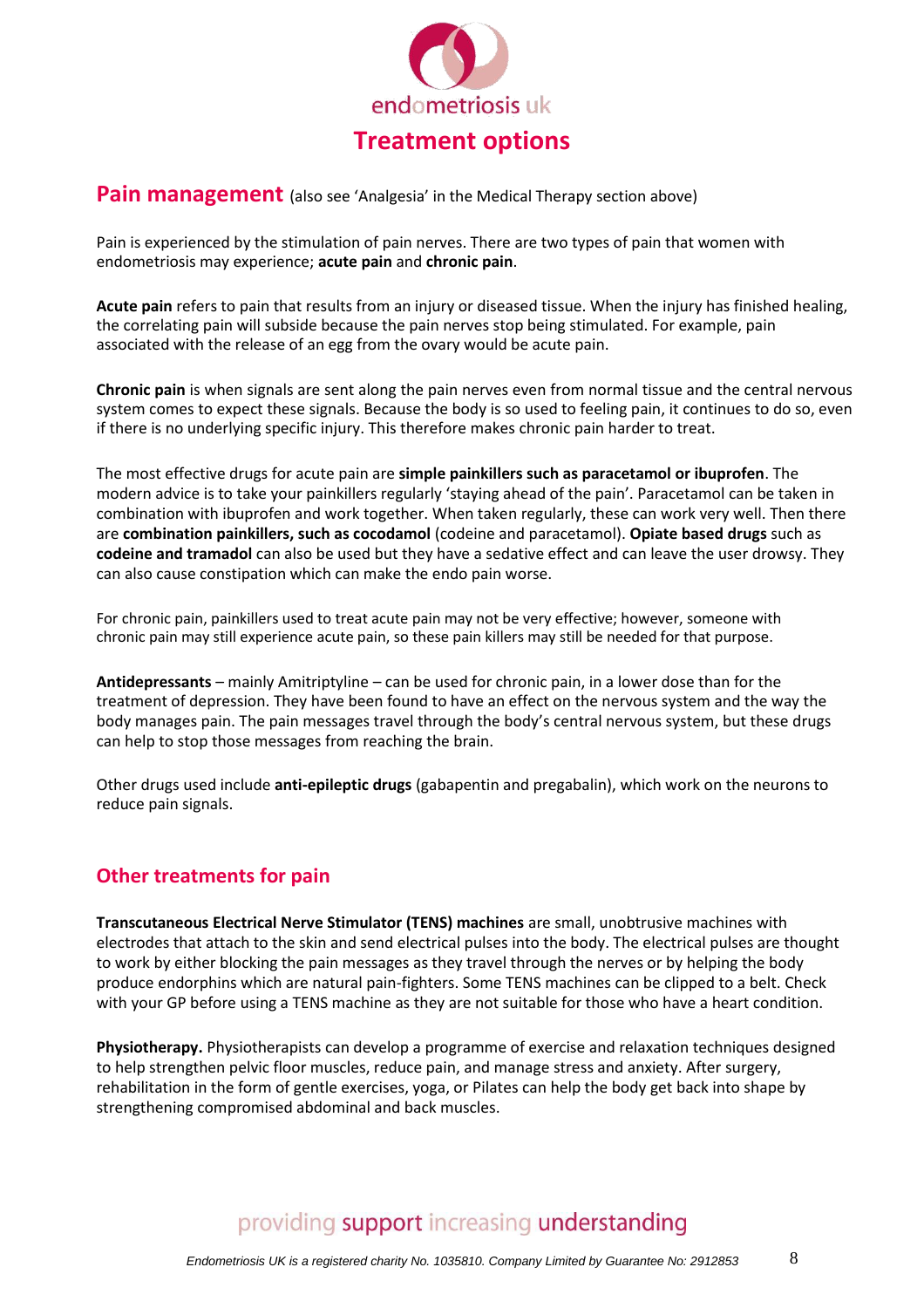

### **Pain management** (also see 'Analgesia' in the Medical Therapy section above)

Pain is experienced by the stimulation of pain nerves. There are two types of pain that women with endometriosis may experience; **acute pain** and **chronic pain**.

**Acute pain** refers to pain that results from an injury or diseased tissue. When the injury has finished healing, the correlating pain will subside because the pain nerves stop being stimulated. For example, pain associated with the release of an egg from the ovary would be acute pain.

**Chronic pain** is when signals are sent along the pain nerves even from normal tissue and the central nervous system comes to expect these signals. Because the body is so used to feeling pain, it continues to do so, even if there is no underlying specific injury. This therefore makes chronic pain harder to treat.

The most effective drugs for acute pain are **simple painkillers such as paracetamol or ibuprofen**. The modern advice is to take your painkillers regularly 'staying ahead of the pain'. Paracetamol can be taken in combination with ibuprofen and work together. When taken regularly, these can work very well. Then there are **combination painkillers, such as cocodamol** (codeine and paracetamol). **Opiate based drugs** such as **codeine and tramadol** can also be used but they have a sedative effect and can leave the user drowsy. They can also cause constipation which can make the endo pain worse.

For chronic pain, painkillers used to treat acute pain may not be very effective; however, someone with chronic pain may still experience acute pain, so these pain killers may still be needed for that purpose.

**Antidepressants** – mainly Amitriptyline – can be used for chronic pain, in a lower dose than for the treatment of depression. They have been found to have an effect on the nervous system and the way the body manages pain. The pain messages travel through the body's central nervous system, but these drugs can help to stop those messages from reaching the brain.

Other drugs used include **anti-epileptic drugs** (gabapentin and pregabalin), which work on the neurons to reduce pain signals.

## **Other treatments for pain**

**Transcutaneous Electrical Nerve Stimulator (TENS) machines** are small, unobtrusive machines with electrodes that attach to the skin and send electrical pulses into the body. The electrical pulses are thought to work by either blocking the pain messages as they travel through the nerves or by helping the body produce endorphins which are natural pain-fighters. Some TENS machines can be clipped to a belt. Check with your GP before using a TENS machine as they are not suitable for those who have a heart condition.

**Physiotherapy.** Physiotherapists can develop a programme of exercise and relaxation techniques designed to help strengthen pelvic floor muscles, reduce pain, and manage stress and anxiety. After surgery, rehabilitation in the form of gentle exercises, yoga, or Pilates can help the body get back into shape by strengthening compromised abdominal and back muscles.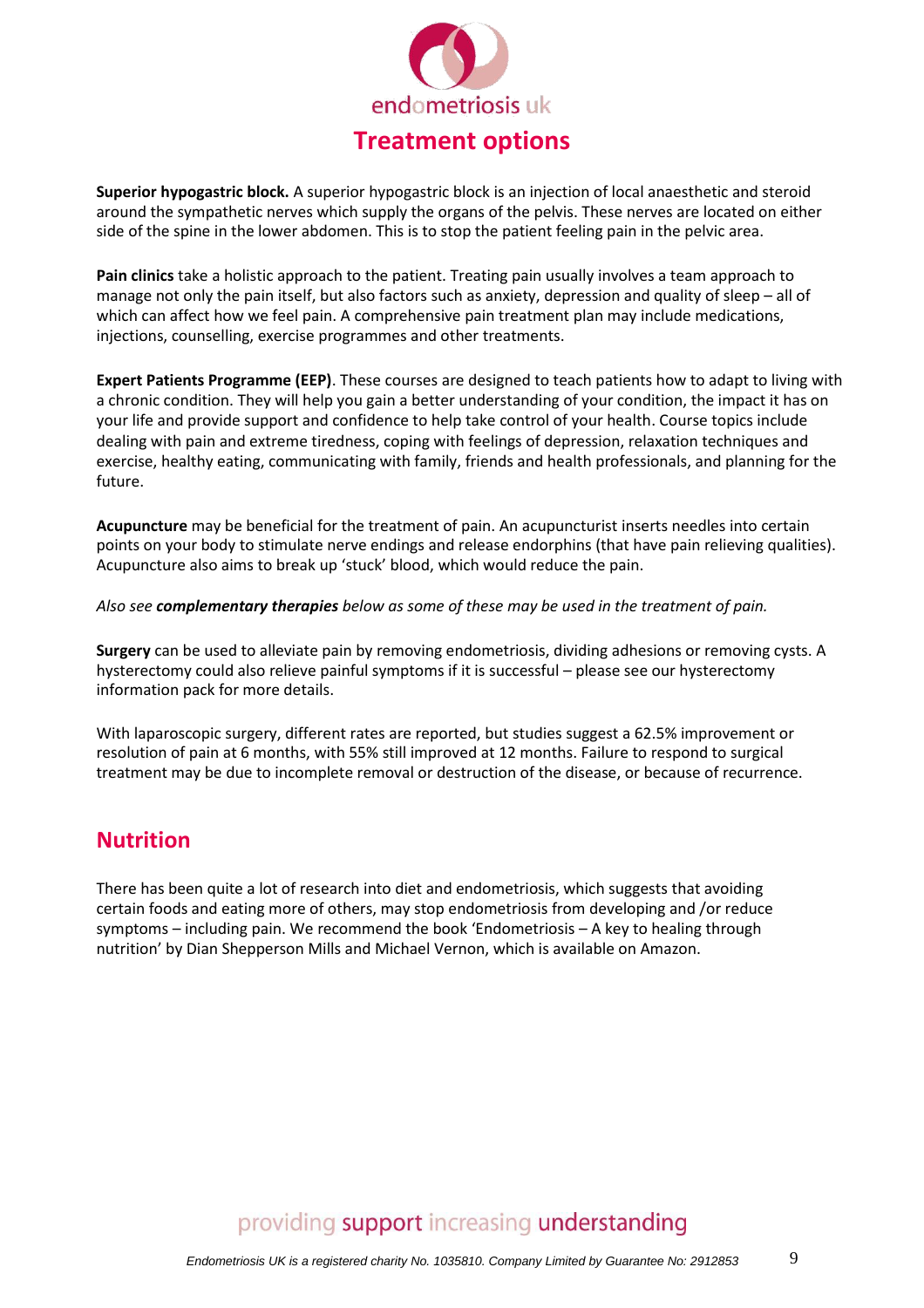

**Superior hypogastric block.** A superior hypogastric block is an injection of local anaesthetic and steroid around the sympathetic nerves which supply the organs of the pelvis. These nerves are located on either side of the spine in the lower abdomen. This is to stop the patient feeling pain in the pelvic area.

**Pain clinics** take a holistic approach to the patient. Treating pain usually involves a team approach to manage not only the pain itself, but also factors such as anxiety, depression and quality of sleep – all of which can affect how we feel pain. A comprehensive pain treatment plan may include medications, injections, counselling, exercise programmes and other treatments.

**Expert Patients Programme (EEP)**. These courses are designed to teach patients how to adapt to living with a chronic condition. They will help you gain a better understanding of your condition, the impact it has on your life and provide support and confidence to help take control of your health. Course topics include dealing with pain and extreme tiredness, coping with feelings of depression, relaxation techniques and exercise, healthy eating, communicating with family, friends and health professionals, and planning for the future.

**Acupuncture** may be beneficial for the treatment of pain. An acupuncturist inserts needles into certain points on your body to stimulate nerve endings and release endorphins (that have pain relieving qualities). Acupuncture also aims to break up 'stuck' blood, which would reduce the pain.

*Also see complementary therapies below as some of these may be used in the treatment of pain.*

**Surgery** can be used to alleviate pain by removing endometriosis, dividing adhesions or removing cysts. A hysterectomy could also relieve painful symptoms if it is successful – please see our hysterectomy information pack for more details.

With laparoscopic surgery, different rates are reported, but studies suggest a 62.5% improvement or resolution of pain at 6 months, with 55% still improved at 12 months. Failure to respond to surgical treatment may be due to incomplete removal or destruction of the disease, or because of recurrence.

## **Nutrition**

There has been quite a lot of research into diet and endometriosis, which suggests that avoiding certain foods and eating more of others, may stop endometriosis from developing and /or reduce symptoms – including pain. We recommend the book 'Endometriosis – A key to healing through nutrition' by Dian Shepperson Mills and Michael Vernon, which is available on Amazon.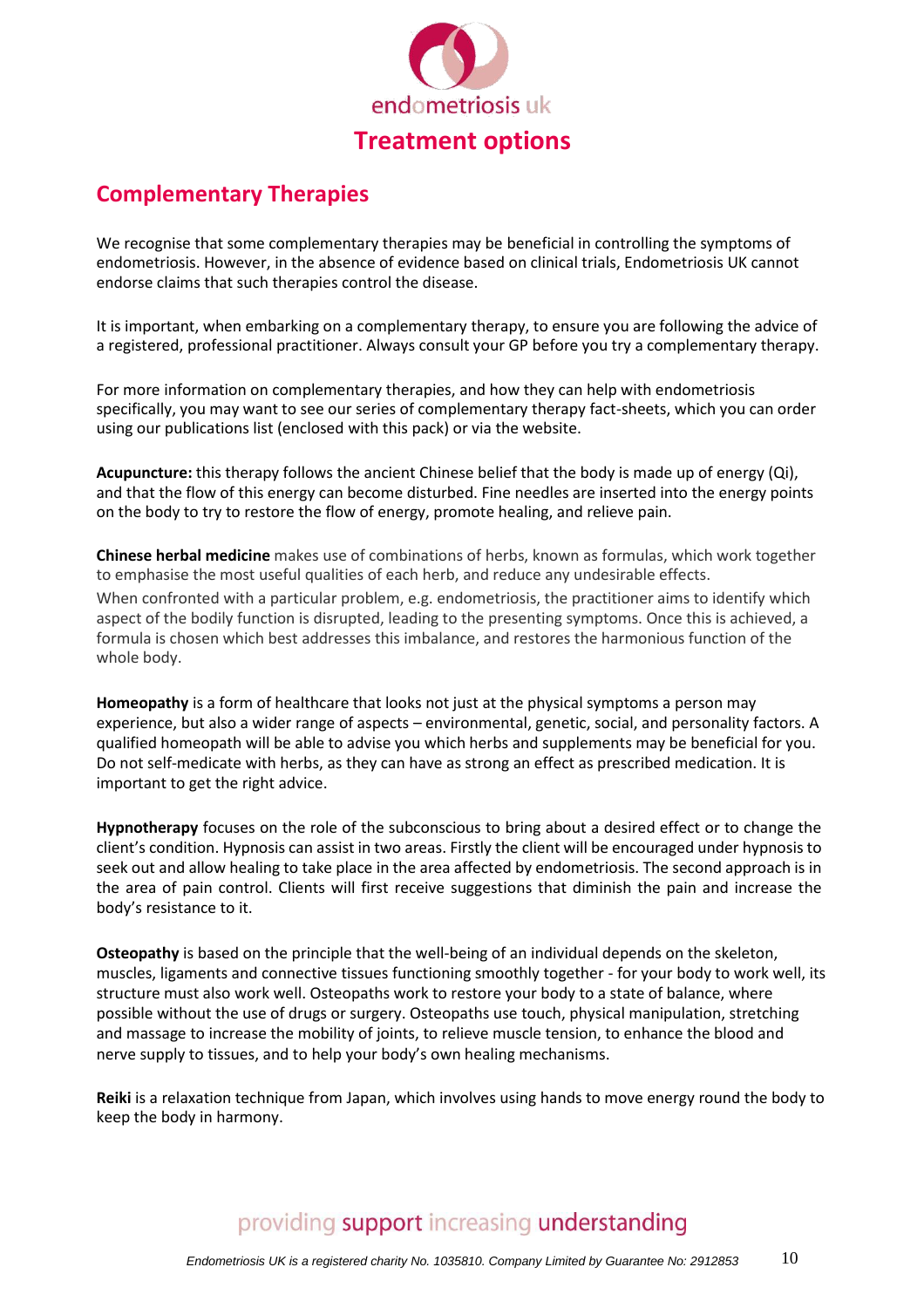

## **Complementary Therapies**

We recognise that some complementary therapies may be beneficial in controlling the symptoms of endometriosis. However, in the absence of evidence based on clinical trials, Endometriosis UK cannot endorse claims that such therapies control the disease.

It is important, when embarking on a complementary therapy, to ensure you are following the advice of a registered, professional practitioner. Always consult your GP before you try a complementary therapy.

For more information on complementary therapies, and how they can help with endometriosis specifically, you may want to see our series of complementary therapy fact-sheets, which you can order using our publications list (enclosed with this pack) or via the website.

**Acupuncture:** this therapy follows the ancient Chinese belief that the body is made up of energy (Qi), and that the flow of this energy can become disturbed. Fine needles are inserted into the energy points on the body to try to restore the flow of energy, promote healing, and relieve pain.

**Chinese herbal medicine** makes use of combinations of herbs, known as formulas, which work together to emphasise the most useful qualities of each herb, and reduce any undesirable effects. When confronted with a particular problem, e.g. endometriosis, the practitioner aims to identify which aspect of the bodily function is disrupted, leading to the presenting symptoms. Once this is achieved, a formula is chosen which best addresses this imbalance, and restores the harmonious function of the whole body.

**Homeopathy** is a form of healthcare that looks not just at the physical symptoms a person may experience, but also a wider range of aspects – environmental, genetic, social, and personality factors. A qualified homeopath will be able to advise you which herbs and supplements may be beneficial for you. Do not self-medicate with herbs, as they can have as strong an effect as prescribed medication. It is important to get the right advice.

**Hypnotherapy** focuses on the role of the subconscious to bring about a desired effect or to change the client's condition. Hypnosis can assist in two areas. Firstly the client will be encouraged under hypnosis to seek out and allow healing to take place in the area affected by endometriosis. The second approach is in the area of pain control. Clients will first receive suggestions that diminish the pain and increase the body's resistance to it.

**Osteopathy** is based on the principle that the well-being of an individual depends on the skeleton, muscles, ligaments and connective tissues functioning smoothly together - for your body to work well, its structure must also work well. Osteopaths work to restore your body to a state of balance, where possible without the use of drugs or surgery. Osteopaths use touch, physical manipulation, stretching and massage to increase the mobility of joints, to relieve muscle tension, to enhance the blood and nerve supply to tissues, and to help your body's own healing mechanisms.

**Reiki** is a relaxation technique from Japan, which involves using hands to move energy round the body to keep the body in harmony.